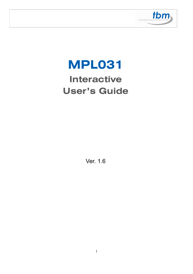

# **MPL031 Interactive User's Guide**

Ver. 1.6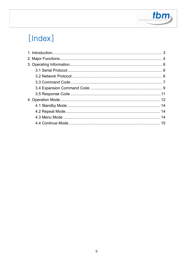

# [Index]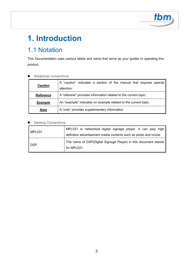

# **1. Introduction**

# 1.1 Notation

This Documentation uses various labels and name that serve as your guides to operating this product.

#### Notational conventions

|                  | A "caution" indicates a section of the manual that requires special |
|------------------|---------------------------------------------------------------------|
| <b>Caution</b>   | attention.                                                          |
| <b>Reference</b> | A "referene" provides information related to the current topic.     |
| <b>Example</b>   | An "example" indicates on example related to the current topic.     |
| <b>Note</b>      | A "note" provides supplementary information.                        |

#### Naming Conventions

| MPL031     | MPL031 is networked digital signage player. It can play high<br>definition advertisement media contents such as photo and movie. |
|------------|----------------------------------------------------------------------------------------------------------------------------------|
| <b>DSP</b> | The name of DSP(Digital Signage Player) in this document stands<br>for MPL031.                                                   |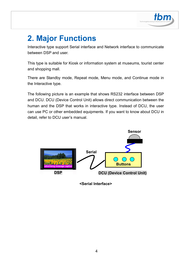

# **2. Major Functions**

Interactive type support Serial interface and Network interface to communicate between DSP and user.

This type is suitable for Kiosk or information system at museums, tourist center and shopping mall.

There are Standby mode, Repeat mode, Menu mode, and Continue mode in the Interactive type.

The following picture is an example that shows RS232 interface between DSP and DCU. DCU (Device Control Unit) allows direct communication between the human and the DSP that works in interactive type. Instead of DCU, the user can use PC or other embedded equipments. If you want to know about DCU in detail, refer to DCU user's manual.



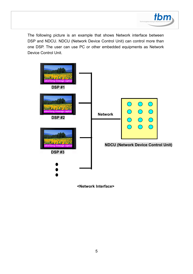

The following picture is an example that shows Network interface between DSP and NDCU. NDCU (Network Device Control Unit) can control more than one DSP. The user can use PC or other embedded equipments as Network Device Control Unit.



**<Network Interface>**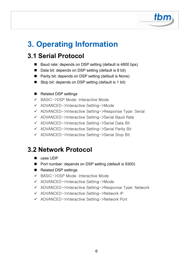

# **3. Operating Information**

## **3.1 Serial Protocol**

- Baud rate: depends on DSP setting (default is 4800 bps)
- Data bit: depends on DSP setting (default is 8 bit)
- Parity bit: depends on DSP setting (default is None)
- Stop bit: depends on DSP setting (default is 1 bit)
- Related DSP settings
- BASIC->DSP Mode: Interactive Mode
- ADVANCED->Interactive Setting->Mode
- ADVANCED->Interactive Setting->Response Type: Serial
- ADVANCED->Interactive Setting->Serial Baud Rate
- ADVANCED->Interactive Setting->Serial Data Bit
- ADVANCED->Interactive Setting->Serial Parity Bit
- ADVANCED->Interactive Setting->Serial Stop Bit

### **3.2 Network Protocol**

- uses UDP
- Port number: depends on DSP setting (default is 9300)
- Related DSP settings
- BASIC->DSP Mode: Interactive Mode
- ADVANCED->Interactive Setting->Mode
- ADVANCED->Interactive Setting->Response Type: Network
- ADVANCED->Interactive Setting->Network IP
- ADVANCED->Interactive Setting->Network Port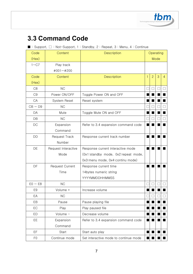

# **3.3 Command Code**

#### ■ : Support,  $□$  : Not-Support, 1 : Standby, 2 : Repeat, 3 : Menu, 4 : Continue

| Code           | Content                | Description                           | Operating    |                |   |                |
|----------------|------------------------|---------------------------------------|--------------|----------------|---|----------------|
| (Hex)          |                        |                                       | Mode         |                |   |                |
| $1 - C7$       | Play track             |                                       |              |                |   |                |
|                | #001~#200              |                                       |              |                |   |                |
| Code           | Content                | Description                           | $\mathbf{1}$ | $\overline{2}$ | 3 | $\overline{4}$ |
| (Hex)          |                        |                                       |              |                |   |                |
| C <sub>8</sub> | NC                     |                                       |              |                |   |                |
| C <sub>9</sub> | Power ON/OFF           | Toggle Power ON and OFF               |              |                |   |                |
| CA             | System Reset           | Reset system                          |              |                |   |                |
| $CB \sim D9$   | <b>NC</b>              |                                       |              |                |   |                |
| DA             | Mute                   | Toggle Mute ON and OFF                |              |                |   |                |
| DB             | <b>NC</b>              |                                       |              |                |   |                |
| DC             | Expansion              | Refer to 3.4 expansion command code   |              |                |   |                |
|                | Command                |                                       |              |                |   |                |
| DD             | <b>Request Track</b>   | Response current track number         |              |                |   |                |
|                | Number                 |                                       |              |                |   |                |
| DE             | Request Interactive    | Response current interactive mode     |              |                |   |                |
|                | Mode                   | (0x1:standby mode, 0x2:repeat mode,   |              |                |   |                |
|                |                        | 0x3:menu mode, 0x4:continu mode)      |              |                |   |                |
| DF             | <b>Request Current</b> | Response current time                 |              |                |   |                |
|                | Time                   | 14bytes numeric string                |              |                |   |                |
|                |                        | YYYYMMDDHHMMSS                        |              |                |   |                |
| $E0 \sim E8$   | <b>NC</b>              |                                       |              |                |   |                |
| E <sub>9</sub> | Volume +               | Increase volume                       |              |                |   |                |
| EA             | NC                     |                                       | $\Box$       | $\Box$         |   | ப              |
| EB             | Pause                  | Pause playing file                    |              |                |   |                |
| EC             | Play                   | Play paused file                      |              |                |   |                |
| ED             | Volume -               | Decrease volume                       |              |                |   |                |
| EE             | Expansion              | Refer to 3.4 expansion command code   |              |                |   |                |
|                | Command                |                                       |              |                |   |                |
| EF             | Start                  | Start auto play                       | п            |                |   |                |
| F <sub>0</sub> | Continue mode          | Set interactive mode to continue mode |              |                |   |                |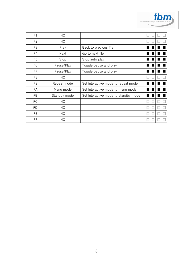

| F1             | <b>NC</b>    |                                      |  |  |
|----------------|--------------|--------------------------------------|--|--|
| F <sub>2</sub> | NC.          |                                      |  |  |
| F <sub>3</sub> | Prev         | Back to previous file                |  |  |
| F4             | Next         | Go to next file                      |  |  |
| F <sub>5</sub> | Stop         | Stop auto play                       |  |  |
| F6             | Pause/Play   | Toggle pause and play                |  |  |
| F7             | Pause/Play   | Toggle pause and play                |  |  |
| F <sub>8</sub> | <b>NC</b>    |                                      |  |  |
| F <sub>9</sub> | Repeat mode  | Set interactive mode to repeat mode  |  |  |
| FA             | Menu mode    | Set interactive mode to menu mode    |  |  |
| FB             | Standby mode | Set interactive mode to standby mode |  |  |
| FC             | NC.          |                                      |  |  |
| FD             | NC.          |                                      |  |  |
| FE.            | NC.          |                                      |  |  |
| FF             | <b>NC</b>    |                                      |  |  |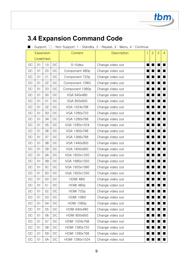

# **3.4 Expansion Command Code**

#### ■ : Support,  $□$  : Not-Support, 1 : Standby, 2 : Repeat, 3 : Menu, 4 : Continue

|    | Expansion |    |    | Content           | <b>Description</b> |   | $\overline{2}$ | 3 | 4 |
|----|-----------|----|----|-------------------|--------------------|---|----------------|---|---|
|    | Code(Hex) |    |    |                   |                    |   |                |   |   |
| DC | 01        | 10 | DC | S-Video           | Change video out   |   |                |   |   |
| DC | 01        | 20 | DC | Component 480p    | Change video out   |   |                |   |   |
| DC | 01        | 21 | DC | Component 720p    | Change video out   |   |                |   |   |
| DC | 01        | 22 | DC | Component 1080i   | Change video out   |   |                |   |   |
| DC | 01        | 23 | DC | Component 1080p   | Change video out   |   |                |   |   |
| DC | 01        | 30 | DC | VGA 640x480       | Change video out   |   |                |   |   |
| DC | 01        | 31 | DC | VGA 800x600       | Change video out   |   |                |   |   |
| DC | 01        | 32 | DC | VGA 1024x768      | Change video out   |   |                |   |   |
| DC | 01        | 33 | DC | VGA 1280x720      | Change video out   |   |                |   |   |
| DC | 01        | 34 | DC | VGA 1280x768      | Change video out   |   |                |   |   |
| DC | 01        | 35 | DC | VGA 1280x1024     | Change video out   |   |                |   |   |
| DC | 01        | 36 | DC | VGA 1360x768      | Change video out   |   |                |   |   |
| DC | 01        | 37 | DC | VGA 1366x768      | Change video out   |   |                |   |   |
| DC | 01        | 38 | DC | VGA 1440x900      | Change video out   |   |                |   |   |
| DC | 01        | 39 | DC | VGA 1600x900      | Change video out   |   |                |   |   |
| DC | 01        | 3A | DC | VGA 1600x1200     | Change video out   |   |                |   |   |
| DC | 01        | 3B | DC | VGA 1680x1050     | Change video out   |   |                |   |   |
| DC | 01        | 3C | DC | VGA 1920x1080     | Change video out   |   |                |   |   |
| DC | 01        | 3D | DC | VGA 1920x1200     | Change video out   |   |                |   |   |
| DC | 01        | 50 | DC | <b>HDMI 480i</b>  | Change video out   |   |                |   |   |
| DC | 01        | 51 | DC | HDMI 480p         | Change video out   |   |                |   |   |
| DC | 01        | 52 | DC | HDMI 720p         | Change video out   |   |                |   |   |
| DC | 01        | 53 | DC | <b>HDMI 1080i</b> | Change video out   | ٠ |                |   |   |
| DC | 01        | 54 | DC | <b>HDMI 1080p</b> | Change video out   |   |                |   |   |
| DC | 01        | 55 | DC | HDMI 640x480      | Change video out   |   |                |   |   |
| DC | 01        | 56 | DC | HDMI 800x600      | Change video out   |   |                |   |   |
| DC | 01        | 57 | DC | HDMI 1024x768     | Change video out   |   |                |   |   |
| DC | 01        | 58 | DC | HDMI 1280x720     | Change video out   |   |                |   |   |
| DC | 01        | 59 | DC | HDMI 1280x768     | Change video out   |   |                |   |   |
| DC | 01        | 5A | DC | HDMI 1280x1024    | Change video out   |   |                |   |   |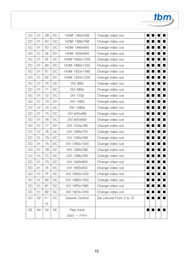| DC | 01 | <b>5B</b>   | DC        | HDMI 1360x768    | Change video out        |  |  |
|----|----|-------------|-----------|------------------|-------------------------|--|--|
| DC | 01 | 5C          | DC        | HDMI 1366x768    | Change video out        |  |  |
| DC | 01 | 5D          | DC        | HDMI 1440x900    | Change video out        |  |  |
| DC | 01 | 5E          | DC        | HDMI 1600x900    | Change video out        |  |  |
| DC | 01 | 5F          | DC        | HDMI 1600x1200   | Change video out        |  |  |
| DC | 01 | 60          | DC        | HDMI 1680x1050   | Change video out        |  |  |
| DC | 01 | 61          | <b>DC</b> | HDMI 1920x1080   | Change video out        |  |  |
| DC | 01 | 62          | DC        | HDMI 1920x1200   | Change video out        |  |  |
| DC | 01 | 70          | DC        | <b>DVI 480i</b>  | Change video out        |  |  |
| DC | 01 | 71          | DC        | <b>DVI 480p</b>  | Change video out        |  |  |
| DC | 01 | 72          | DC        | <b>DVI 720p</b>  | Change video out        |  |  |
| DC | 01 | 73          | DC        | DVI 1080i        | Change video out        |  |  |
| DC | 01 | 74          | DC        | DVI 1080p        | Change video out        |  |  |
| DC | 01 | 75          | DC        | DVI 640x480      | Change video out        |  |  |
| DC | 01 | 76          | DC        | DVI 800x600      | Change video out        |  |  |
| DC | 01 | 77          | <b>DC</b> | DVI 1024x768     | Change video out        |  |  |
| DC | 01 | 78          | DC        | DVI 1280x720     | Change video out        |  |  |
| DC | 01 | 79          | <b>DC</b> | DVI 1280x768     | Change video out        |  |  |
| DC | 01 | 7A          | DC        | DVI 1280x1024    | Change video out        |  |  |
| DC | 01 | 7B          | DC        | DVI 1360x768     | Change video out        |  |  |
| DC | 01 | 7C          | DC        | DVI 1366x768     | Change video out        |  |  |
| DC | 01 | 7D          | DC        | DVI 1440x900     | Change video out        |  |  |
| DC | 01 | 7E          | DC        | DVI 1600x900     | Change video out        |  |  |
| DC | 01 | 7F          | DC        | DVI 1600x1200    | Change video out        |  |  |
| DC | 01 | 80          | DC        | DVI 1680x1050    | Change video out        |  |  |
| DC | 01 | 81          | DC        | DVI 1920x1080    | Change video out        |  |  |
| DC | 01 | 82          | DC        | DVI 1920x1200    | Change video out        |  |  |
| DC | 02 | $0 -$<br>1F | DC        | Volume Control   | Set volume From 0 to 31 |  |  |
| EE | XX | XX          | EE        | Play track       |                         |  |  |
|    |    |             |           | $0001 \sim FFFF$ |                         |  |  |

tbm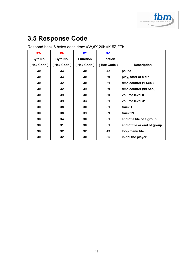

# **3.5 Response Code**

| #W         | #X        | #Y              | #Z              |                             |
|------------|-----------|-----------------|-----------------|-----------------------------|
| Byte No.   | Byte No.  | <b>Function</b> | <b>Function</b> |                             |
| (Hex Code) | Hex Code) | (Hex Code)      | (Hex Code)      | <b>Description</b>          |
| 30         | 33        | 30              | 42              | pause                       |
| 30         | 33        | 30              | 39              | play, start of a file       |
| 30         | 42        | 30              | 31              | time counter (1 Sec.)       |
| 30         | 42        | 39              | 39              | time counter (99 Sec.)      |
| 30         | 39        | 30              | 30              | volume level 0              |
| 30         | 39        | 33              | 31              | volume level 31             |
| 30         | 38        | 30              | 31              | track 1                     |
| 30         | 38        | 39              | 39              | track 99                    |
| 30         | 34        | 30              | 31              | end of a file of a group    |
| 30         | 31        | 30              | 31              | end of file or end of group |
| 30         | 32        | 32              | 43              | loop menu file              |
| 30         | 32        | 30              | 35              | initial the player          |

#### Respond back 6 bytes each time: #W,#X,20h,#Y,#Z,FFh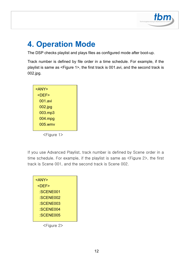

# **4. Operation Mode**

The DSP checks playlist and plays files as configured mode after boot-up.

Track number is defined by file order in a time schedule. For example, if the playlist is same as <Figure 1>, the first track is 001.avi, and the second track is 002.jpg.



If you use Advanced Playlist, track number is defined by Scene order in a time schedule. For example, if the playlist is same as <Figure 2>, the first track is Scene 001, and the second track is Scene 002.



<Figure 2>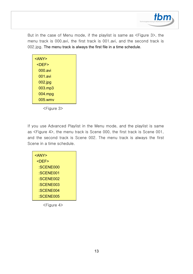

But in the case of Menu mode, if the playlist is same as <Figure 3>, the menu track is 000.avi, the first track is 001.avi, and the second track is 002.jpg. The menu track is always the first file in a time schedule.

| <any></any> |  |
|-------------|--|
| <def></def> |  |
| 000.avi     |  |
| 001.avi     |  |
| 002.jpg     |  |
| 003.mp3     |  |
| $004$ .mpg  |  |
| 005.wmv     |  |
|             |  |

<Figure 3>

If you use Advanced Playlist in the Menu mode, and the playlist is same as <Figure 4>, the menu track is Scene 000, the first track is Scene 001, and the second track is Scene 002. The menu track is always the first Scene in a time schedule.

| <any></any> |  |
|-------------|--|
| <def></def> |  |
| :SCENE000   |  |
| :SCENE001   |  |
| :SCENE002   |  |
| :SCENE003   |  |
| :SCENE004   |  |
| :SCENE005   |  |

<Figure 4>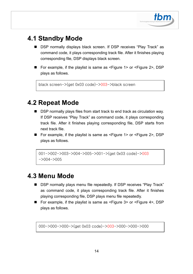

### **4.1 Standby Mode**

- DSP normally displays black screen. If DSP receives "Play Track" as command code, it plays corresponding track file. After it finishes playing corresponding file, DSP displays black screen.
- For example, if the playlist is same as <Figure 1> or <Figure 2>, DSP plays as follows.

```
black screen->(get 0x03 code)->003->black screen
```
### **4.2 Repeat Mode**

- DSP normally plays files from start track to end track as circulation way. If DSP receives "Play Track" as command code, it plays corresponding track file. After it finishes playing corresponding file, DSP starts from next track file.
- For example, if the playlist is same as <Figure 1> or <Figure 2>, DSP plays as follows.

```
001->002->003->004->005->001->(get 0x03 code)->003 
-2004-2005
```
### **4.3 Menu Mode**

- DSP normally plays menu file repeatedly. If DSP receives "Play Track" as command code, it plays corresponding track file. After it finishes playing corresponding file, DSP plays menu file repeatedly.
- For example, if the playlist is same as <Figure 3> or <Figure 4>, DSP plays as follows.

000->000->000->(get 0x03 code)->003->000->000->000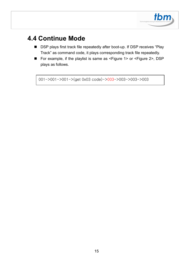

### **4.4 Continue Mode**

- DSP plays first track file repeatedly after boot-up. If DSP receives "Play Track" as command code, it plays corresponding track file repeatedly.
- For example, if the playlist is same as <Figure 1> or <Figure 2>, DSP plays as follows.

001->001->001->(get 0x03 code)->003->003->003->003